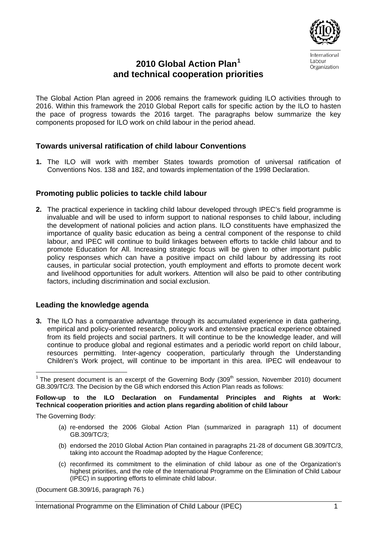

International Labour Organization

# **2010 Global Action Plan[1](#page-0-0) and technical cooperation priorities**

The Global Action Plan agreed in 2006 remains the framework guiding ILO activities through to 2016. Within this framework the 2010 Global Report calls for specific action by the ILO to hasten the pace of progress towards the 2016 target. The paragraphs below summarize the key components proposed for ILO work on child labour in the period ahead.

# **Towards universal ratification of child labour Conventions**

**1.** The ILO will work with member States towards promotion of universal ratification of Conventions Nos. 138 and 182, and towards implementation of the 1998 Declaration.

# **Promoting public policies to tackle child labour**

**2.** The practical experience in tackling child labour developed through IPEC's field programme is invaluable and will be used to inform support to national responses to child labour, including the development of national policies and action plans. ILO constituents have emphasized the importance of quality basic education as being a central component of the response to child labour, and IPEC will continue to build linkages between efforts to tackle child labour and to promote Education for All. Increasing strategic focus will be given to other important public policy responses which can have a positive impact on child labour by addressing its root causes, in particular social protection, youth employment and efforts to promote decent work and livelihood opportunities for adult workers. Attention will also be paid to other contributing factors, including discrimination and social exclusion.

## **Leading the knowledge agenda**

**3.** The ILO has a comparative advantage through its accumulated experience in data gathering, empirical and policy-oriented research, policy work and extensive practical experience obtained from its field projects and social partners. It will continue to be the knowledge leader, and will continue to produce global and regional estimates and a periodic world report on child labour, resources permitting. Inter-agency cooperation, particularly through the Understanding Children's Work project, will continue to be important in this area. IPEC will endeavour to

#### **Follow-up to the ILO Declaration on Fundamental Principles and Rights at Work: Technical cooperation priorities and action plans regarding abolition of child labour**

The Governing Body:

- (a) re-endorsed the 2006 Global Action Plan (summarized in paragraph 11) of document GB.309/TC/3;
- (b) endorsed the 2010 Global Action Plan contained in paragraphs 21-28 of document GB.309/TC/3, taking into account the Roadmap adopted by the Hague Conference;
- (c) reconfirmed its commitment to the elimination of child labour as one of the Organization's highest priorities, and the role of the International Programme on the Elimination of Child Labour (IPEC) in supporting efforts to eliminate child labour.

(Document GB.309/16, paragraph 76.)

<span id="page-0-0"></span> $\overline{a}$ <sup>1</sup> The present document is an excerpt of the Governing Body (309<sup>th</sup> session, November 2010) document GB.309/TC/3. The Decision by the GB which endorsed this Action Plan reads as follows: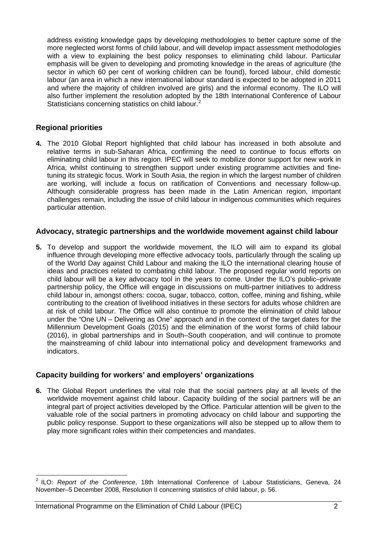address existing knowledge gaps by developing methodologies to better capture some of the more neglected worst forms of child labour, and will develop impact assessment methodologies with a view to explaining the best policy responses to eliminating child labour. Particular emphasis will be given to developing and promoting knowledge in the areas of agriculture (the sector in which 60 per cent of working children can be found), forced labour, child domestic labour (an area in which a new international labour standard is expected to be adopted in 2011 and where the majority of children involved are girls) and the informal economy. The ILO will also further implement the resolution adopted by the 18th International Conference of Labour Statisticians concerning statistics on child labour.<sup>2</sup>

# **Regional priorities**

 $\overline{a}$ 

**4.** The 2010 Global Report highlighted that child labour has increased in both absolute and relative terms in sub-Saharan Africa, confirming the need to continue to focus efforts on eliminating child labour in this region. IPEC will seek to mobilize donor support for new work in Africa, whilst continuing to strengthen support under existing programme activities and finetuning its strategic focus. Work in South Asia, the region in which the largest number of children are working, will include a focus on ratification of Conventions and necessary follow-up. Although considerable progress has been made in the Latin American region, important challenges remain, including the issue of child labour in indigenous communities which requires particular attention.

## **Advocacy, strategic partnerships and the worldwide movement against child labour**

**5.** To develop and support the worldwide movement, the ILO will aim to expand its global influence through developing more effective advocacy tools, particularly through the scaling up of the World Day against Child Labour and making the ILO the international clearing house of ideas and practices related to combating child labour. The proposed regular world reports on child labour will be a key advocacy tool in the years to come. Under the ILO's public–private partnership policy, the Office will engage in discussions on multi-partner initiatives to address child labour in, amongst others: cocoa, sugar, tobacco, cotton, coffee, mining and fishing, while contributing to the creation of livelihood initiatives in these sectors for adults whose children are at risk of child labour. The Office will also continue to promote the elimination of child labour under the "One UN – Delivering as One" approach and in the context of the target dates for the Millennium Development Goals (2015) and the elimination of the worst forms of child labour (2016), in global partnerships and in South–South cooperation, and will continue to promote the mainstreaming of child labour into international policy and development frameworks and indicators.

## **Capacity building for workers' and employers' organizations**

**6.** The Global Report underlines the vital role that the social partners play at all levels of the worldwide movement against child labour. Capacity building of the social partners will be an integral part of project activities developed by the Office. Particular attention will be given to the valuable role of the social partners in promoting advocacy on child labour and supporting the public policy response. Support to these organizations will also be stepped up to allow them to play more significant roles within their competencies and mandates.

<sup>2</sup> ILO: *Report of the Conference*, 18th International Conference of Labour Statisticians, Geneva, 24 November–5 December 2008, Resolution II concerning statistics of child labour, p. 56.

International Programme on the Elimination of Child Labour (IPEC) 2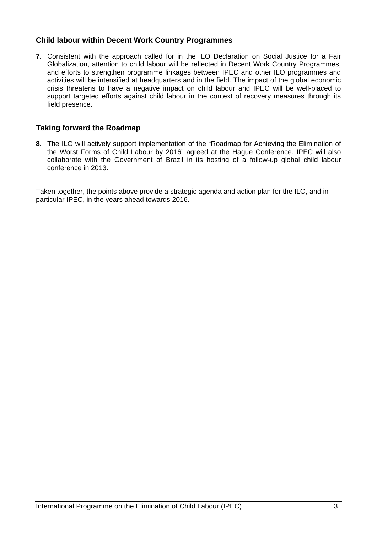# **Child labour within Decent Work Country Programmes**

**7.** Consistent with the approach called for in the ILO Declaration on Social Justice for a Fair Globalization, attention to child labour will be reflected in Decent Work Country Programmes, and efforts to strengthen programme linkages between IPEC and other ILO programmes and activities will be intensified at headquarters and in the field. The impact of the global economic crisis threatens to have a negative impact on child labour and IPEC will be well-placed to support targeted efforts against child labour in the context of recovery measures through its field presence.

## **Taking forward the Roadmap**

**8.** The ILO will actively support implementation of the "Roadmap for Achieving the Elimination of the Worst Forms of Child Labour by 2016" agreed at the Hague Conference. IPEC will also collaborate with the Government of Brazil in its hosting of a follow-up global child labour conference in 2013.

Taken together, the points above provide a strategic agenda and action plan for the ILO, and in particular IPEC, in the years ahead towards 2016.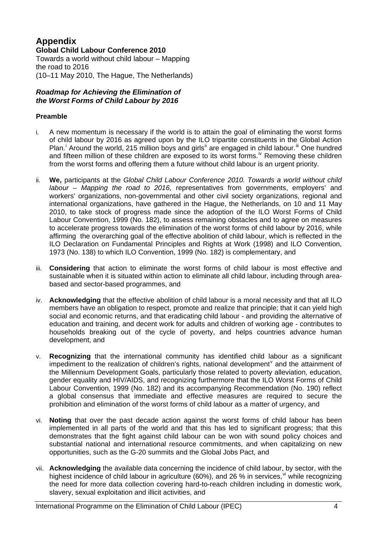#### **Appendix Global Child Labour Conference 2010**  Towards a world without child labour – Mapping the road to 2016 (10–11 May 2010, The Hague, The Netherlands)

## *Roadmap for Achieving the Elimination of the Worst Forms of Child Labour by 2016*

# **Preamble**

- i. A new momentum is necessary if the world is to attain the goal of eliminating the worst forms of child labour by 2016 as agreed upon by the ILO tripartite constituents in the Global Action Plan.<sup>[i](#page-8-0)</sup> Around the world, 215 million boys and girls<sup>[ii](#page-8-1)</sup> are engaged in child labour.<sup>[iii](#page-8-1)</sup> One hundred and fifteen million of these children are exposed to its worst forms.<sup>[iv](#page-8-1)</sup> Removing these children from the worst forms and offering them a future without child labour is an urgent priority.
- ii. **We,** participants at the *Global Child Labour Conference 2010. Towards a world without child labour – Mapping the road to 2016,* representatives from governments, employers' and workers' organizations, non-governmental and other civil society organizations, regional and international organizations, have gathered in the Hague, the Netherlands, on 10 and 11 May 2010, to take stock of progress made since the adoption of the ILO Worst Forms of Child Labour Convention, 1999 (No. 182), to assess remaining obstacles and to agree on measures to accelerate progress towards the elimination of the worst forms of child labour by 2016, while affirming the overarching goal of the effective abolition of child labour, which is reflected in the ILO Declaration on Fundamental Principles and Rights at Work (1998) and ILO Convention, 1973 (No. 138) to which ILO Convention, 1999 (No. 182) is complementary, and
- iii. **Considering** that action to eliminate the worst forms of child labour is most effective and sustainable when it is situated within action to eliminate all child labour, including through areabased and sector-based programmes, and
- iv. **Acknowledging** that the effective abolition of child labour is a moral necessity and that all ILO members have an obligation to respect, promote and realize that principle; that it can yield high social and economic returns, and that eradicating child labour - and providing the alternative of education and training, and decent work for adults and children of working age - contributes to households breaking out of the cycle of poverty, and helps countries advance human development, and
- v. **Recognizing** that the international community has identified child labour as a significant impediment to the realization of children's rights, national de[v](#page-8-1)elopment<sup>y</sup> and the attainment of the Millennium Development Goals, particularly those related to poverty alleviation, education, gender equality and HIV/AIDS, and recognizing furthermore that the ILO Worst Forms of Child Labour Convention, 1999 (No. 182) and its accompanying Recommendation (No. 190) reflect a global consensus that immediate and effective measures are required to secure the prohibition and elimination of the worst forms of child labour as a matter of urgency, and
- vi. **Noting** that over the past decade action against the worst forms of child labour has been implemented in all parts of the world and that this has led to significant progress; that this demonstrates that the fight against child labour can be won with sound policy choices and substantial national and international resource commitments, and when capitalizing on new opportunities, such as the G-20 summits and the Global Jobs Pact, and
- vii. **Acknowledging** the available data concerning the incidence of child labour, by sector, with the highest incidence of child labour in agriculture (60%), and 26 % in ser[vi](#page-8-1)ces,  $\frac{v}{v}$  while recognizing the need for more data collection covering hard-to-reach children including in domestic work, slavery, sexual exploitation and illicit activities, and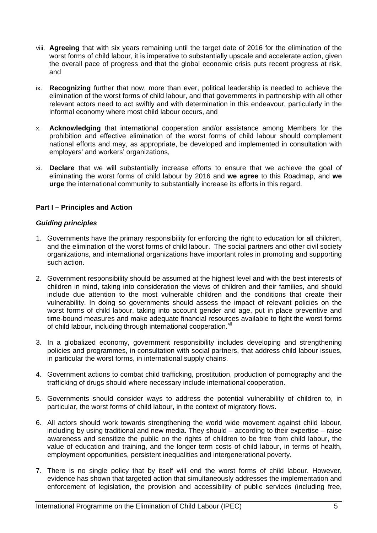- viii. **Agreeing** that with six years remaining until the target date of 2016 for the elimination of the worst forms of child labour, it is imperative to substantially upscale and accelerate action, given the overall pace of progress and that the global economic crisis puts recent progress at risk, and
- ix. **Recognizing** further that now, more than ever, political leadership is needed to achieve the elimination of the worst forms of child labour, and that governments in partnership with all other relevant actors need to act swiftly and with determination in this endeavour, particularly in the informal economy where most child labour occurs, and
- x. **Acknowledging** that international cooperation and/or assistance among Members for the prohibition and effective elimination of the worst forms of child labour should complement national efforts and may, as appropriate, be developed and implemented in consultation with employers' and workers' organizations,
- xi. **Declare** that we will substantially increase efforts to ensure that we achieve the goal of eliminating the worst forms of child labour by 2016 and **we agree** to this Roadmap, and **we urge** the international community to substantially increase its efforts in this regard.

## **Part I – Principles and Action**

#### *Guiding principles*

- 1. Governments have the primary responsibility for enforcing the right to education for all children, and the elimination of the worst forms of child labour. The social partners and other civil society organizations, and international organizations have important roles in promoting and supporting such action.
- 2. Government responsibility should be assumed at the highest level and with the best interests of children in mind, taking into consideration the views of children and their families, and should include due attention to the most vulnerable children and the conditions that create their vulnerability. In doing so governments should assess the impact of relevant policies on the worst forms of child labour, taking into account gender and age, put in place preventive and time-bound measures and make adequate financial resources available to fight the worst forms of child labour, including through international cooperation.<sup>[vii](#page-8-1)</sup>
- 3. In a globalized economy, government responsibility includes developing and strengthening policies and programmes, in consultation with social partners, that address child labour issues, in particular the worst forms, in international supply chains.
- 4. Government actions to combat child trafficking, prostitution, production of pornography and the trafficking of drugs should where necessary include international cooperation.
- 5. Governments should consider ways to address the potential vulnerability of children to, in particular, the worst forms of child labour, in the context of migratory flows.
- 6. All actors should work towards strengthening the world wide movement against child labour, including by using traditional and new media. They should – according to their expertise – raise awareness and sensitize the public on the rights of children to be free from child labour, the value of education and training, and the longer term costs of child labour, in terms of health, employment opportunities, persistent inequalities and intergenerational poverty.
- 7. There is no single policy that by itself will end the worst forms of child labour. However, evidence has shown that targeted action that simultaneously addresses the implementation and enforcement of legislation, the provision and accessibility of public services (including free,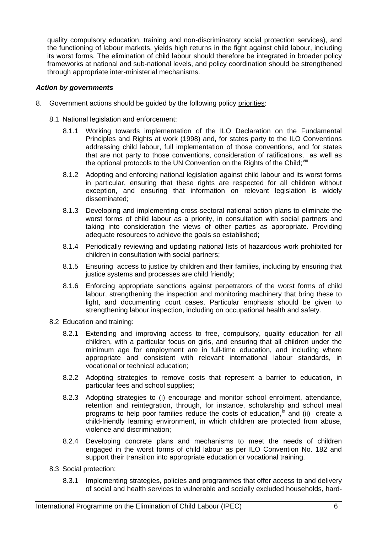quality compulsory education, training and non-discriminatory social protection services), and the functioning of labour markets, yields high returns in the fight against child labour, including its worst forms. The elimination of child labour should therefore be integrated in broader policy frameworks at national and sub-national levels, and policy coordination should be strengthened through appropriate inter-ministerial mechanisms.

#### *Action by governments*

- 8. Government actions should be guided by the following policy priorities:
	- 8.1 National legislation and enforcement:
		- 8.1.1 Working towards implementation of the ILO Declaration on the Fundamental Principles and Rights at work (1998) and, for states party to the ILO Conventions addressing child labour, full implementation of those conventions, and for states that are not party to those conventions, consideration of ratifications, as well as the optional protocols to the UN Convention on the Rights of the Child: Vili
		- 8.1.2 Adopting and enforcing national legislation against child labour and its worst forms in particular, ensuring that these rights are respected for all children without exception, and ensuring that information on relevant legislation is widely disseminated;
		- 8.1.3 Developing and implementing cross-sectoral national action plans to eliminate the worst forms of child labour as a priority, in consultation with social partners and taking into consideration the views of other parties as appropriate. Providing adequate resources to achieve the goals so established;
		- 8.1.4 Periodically reviewing and updating national lists of hazardous work prohibited for children in consultation with social partners;
		- 8.1.5 Ensuring access to justice by children and their families, including by ensuring that justice systems and processes are child friendly;
		- 8.1.6 Enforcing appropriate sanctions against perpetrators of the worst forms of child labour, strengthening the inspection and monitoring machinery that bring these to light, and documenting court cases. Particular emphasis should be given to strengthening labour inspection, including on occupational health and safety.
	- 8.2 Education and training:
		- 8.2.1 Extending and improving access to free, compulsory, quality education for all children, with a particular focus on girls, and ensuring that all children under the minimum age for employment are in full-time education, and including where appropriate and consistent with relevant international labour standards, in vocational or technical education;
		- 8.2.2 Adopting strategies to remove costs that represent a barrier to education, in particular fees and school supplies;
		- 8.2.3 Adopting strategies to (i) encourage and monitor school enrolment, attendance, retention and reintegration, through, for instance, scholarship and school meal programs to help poor families reduce the costs of education,  $\mathbb{K}$  and (ii) create a child-friendly learning environment, in which children are protected from abuse, violence and discrimination;
		- 8.2.4 Developing concrete plans and mechanisms to meet the needs of children engaged in the worst forms of child labour as per ILO Convention No. 182 and support their transition into appropriate education or vocational training.
	- 8.3 Social protection:
		- 8.3.1 Implementing strategies, policies and programmes that offer access to and delivery of social and health services to vulnerable and socially excluded households, hard-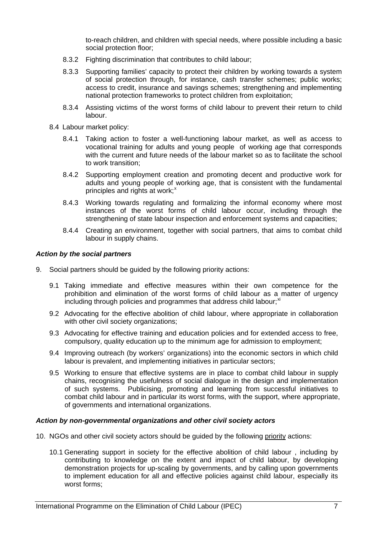to-reach children, and children with special needs, where possible including a basic social protection floor;

- 8.3.2 Fighting discrimination that contributes to child labour;
- 8.3.3 Supporting families' capacity to protect their children by working towards a system of social protection through, for instance, cash transfer schemes; public works; access to credit, insurance and savings schemes; strengthening and implementing national protection frameworks to protect children from exploitation;
- 8.3.4 Assisting victims of the worst forms of child labour to prevent their return to child labour.
- 8.4 Labour market policy:
	- 8.4.1 Taking action to foster a well-functioning labour market, as well as access to vocational training for adults and young people of working age that corresponds with the current and future needs of the labour market so as to facilitate the school to work transition;
	- 8.4.2 Supporting employment creation and promoting decent and productive work for adults and young people of working age, that is consistent with the fundamental principles and rights at work;<sup>[x](#page-8-1)</sup>
	- 8.4.3 Working towards regulating and formalizing the informal economy where most instances of the worst forms of child labour occur, including through the strengthening of state labour inspection and enforcement systems and capacities;
	- 8.4.4 Creating an environment, together with social partners, that aims to combat child labour in supply chains.

#### *Action by the social partners*

- 9. Social partners should be guided by the following priority actions:
	- 9.1 Taking immediate and effective measures within their own competence for the prohibition and elimination of the worst forms of child labour as a matter of urgency including through policies and programmes that address child labour:<sup>[xi](#page-8-1)</sup>
	- 9.2 Advocating for the effective abolition of child labour, where appropriate in collaboration with other civil society organizations;
	- 9.3 Advocating for effective training and education policies and for extended access to free, compulsory, quality education up to the minimum age for admission to employment;
	- 9.4 Improving outreach (by workers' organizations) into the economic sectors in which child labour is prevalent, and implementing initiatives in particular sectors;
	- 9.5 Working to ensure that effective systems are in place to combat child labour in supply chains, recognising the usefulness of social dialogue in the design and implementation of such systems. Publicising, promoting and learning from successful initiatives to combat child labour and in particular its worst forms, with the support, where appropriate, of governments and international organizations.

#### *Action by non-governmental organizations and other civil society actors*

- 10. NGOs and other civil society actors should be guided by the following priority actions:
	- 10.1 Generating support in society for the effective abolition of child labour , including by contributing to knowledge on the extent and impact of child labour, by developing demonstration projects for up-scaling by governments, and by calling upon governments to implement education for all and effective policies against child labour, especially its worst forms;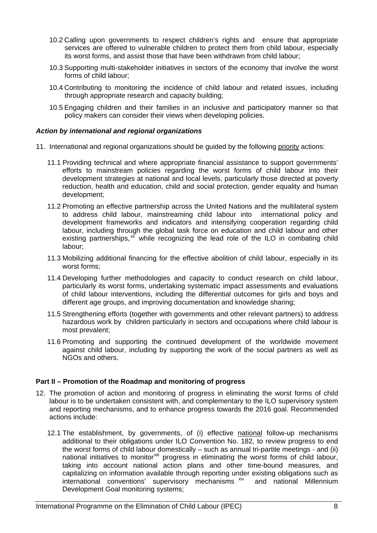- 10.2 Calling upon governments to respect children's rights and ensure that appropriate services are offered to vulnerable children to protect them from child labour, especially its worst forms, and assist those that have been withdrawn from child labour;
- 10.3 Supporting multi-stakeholder initiatives in sectors of the economy that involve the worst forms of child labour;
- 10.4 Contributing to monitoring the incidence of child labour and related issues, including through appropriate research and capacity building;
- 10.5 Engaging children and their families in an inclusive and participatory manner so that policy makers can consider their views when developing policies.

#### *Action by international and regional organizations*

- 11. International and regional organizations should be guided by the following priority actions:
	- 11.1 Providing technical and where appropriate financial assistance to support governments' efforts to mainstream policies regarding the worst forms of child labour into their development strategies at national and local levels, particularly those directed at poverty reduction, health and education, child and social protection, gender equality and human development;
	- 11.2 Promoting an effective partnership across the United Nations and the multilateral system to address child labour, mainstreaming child labour into international policy and development frameworks and indicators and intensifying cooperation regarding child labour, including through the global task force on education and child labour and other existing partnerships,<sup>[xii](#page-9-0)</sup> while recognizing the lead role of the ILO in combating child labour;
	- 11.3 Mobilizing additional financing for the effective abolition of child labour, especially in its worst forms;
	- 11.4 Developing further methodologies and capacity to conduct research on child labour, particularly its worst forms, undertaking systematic impact assessments and evaluations of child labour interventions, including the differential outcomes for girls and boys and different age groups, and improving documentation and knowledge sharing;
	- 11.5 Strengthening efforts (together with governments and other relevant partners) to address hazardous work by children particularly in sectors and occupations where child labour is most prevalent;
	- 11.6 Promoting and supporting the continued development of the worldwide movement against child labour, including by supporting the work of the social partners as well as NGOs and others.

## **Part II – Promotion of the Roadmap and monitoring of progress**

- 12. The promotion of action and monitoring of progress in eliminating the worst forms of child labour is to be undertaken consistent with, and complementary to the ILO supervisory system and reporting mechanisms, and to enhance progress towards the 2016 goal. Recommended actions include:
	- 12.1 The establishment, by governments, of (i) effective national follow-up mechanisms additional to their obligations under ILO Convention No. 182, to review progress to end the worst forms of child labour domestically – such as annual tri-partite meetings - and (ii) national initiatives to monitorxill progress in eliminating the worst forms of child labour, taking into account national action plans and other time-bound measures, and capitalizing on information available through reporting under existing obligations such as international conventions' supervisory mechanisms [xiv](#page-9-0) and national Millennium Development Goal monitoring systems;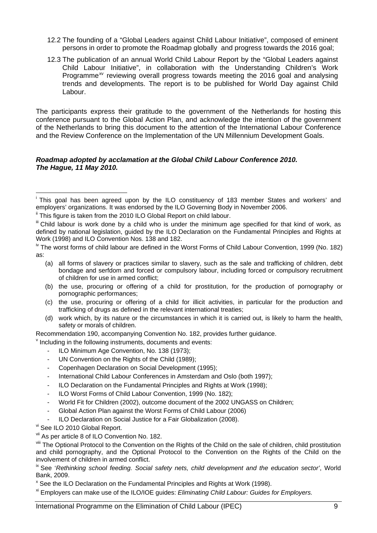- <span id="page-8-1"></span>12.2 The founding of a "Global Leaders against Child Labour Initiative", composed of eminent persons in order to promote the Roadmap globally and progress towards the 2016 goal;
- 12.3 The publication of an annual World Child Labour Report by the "Global Leaders against Child Labour Initiative", in collaboration with the Understanding Children's Work Programme<sup>[xv](#page-9-0)</sup> reviewing overall progress towards meeting the 2016 goal and analysing trends and developments. The report is to be published for World Day against Child Labour.

The participants express their gratitude to the government of the Netherlands for hosting this conference pursuant to the Global Action Plan, and acknowledge the intention of the government of the Netherlands to bring this document to the attention of the International Labour Conference and the Review Conference on the Implementation of the UN Millennium Development Goals.

#### *Roadmap adopted by acclamation at the Global Child Labour Conference 2010. The Hague, 11 May 2010.*

- (a) all forms of slavery or practices similar to slavery, such as the sale and trafficking of children, debt bondage and serfdom and forced or compulsory labour, including forced or compulsory recruitment of children for use in armed conflict;
- (b) the use, procuring or offering of a child for prostitution, for the production of pornography or pornographic performances;
- (c) the use, procuring or offering of a child for illicit activities, in particular for the production and trafficking of drugs as defined in the relevant international treaties;
- (d) work which, by its nature or the circumstances in which it is carried out, is likely to harm the health, safety or morals of children.

Recommendation 190, accompanying Convention No. 182, provides further guidance.

Including in the following instruments, documents and events:

- ILO Minimum Age Convention, No. 138 (1973);
- UN Convention on the Rights of the Child (1989);
- Copenhagen Declaration on Social Development (1995);
- International Child Labour Conferences in Amsterdam and Oslo (both 1997);
- ILO Declaration on the Fundamental Principles and Rights at Work (1998);
- ILO Worst Forms of Child Labour Convention, 1999 (No. 182);
- World Fit for Children (2002), outcome document of the 2002 UNGASS on Children;
- Global Action Plan against the Worst Forms of Child Labour (2006)
- ILO Declaration on Social Justice for a Fair Globalization (2008).
- vi See ILO 2010 Global Report.

vii As per article 8 of ILO Convention No. 182.

viii The Optional Protocol to the Convention on the Rights of the Child on the sale of children, child prostitution and child pornography, and the Optional Protocol to the Convention on the Rights of the Child on the involvement of children in armed conflict.

ix See '*Rethinking school feeding. Social safety nets, child development and the education sector'*, World Bank, 2009.

<sup>x</sup> See the ILO Declaration on the Fundamental Principles and Rights at Work (1998).

xi Employers can make use of the ILO/IOE guides: *Eliminating Child Labour: Guides for Employers.*

<span id="page-8-0"></span> $\overline{a}$ i This goal has been agreed upon by the ILO constituency of 183 member States and workers' and employers' organizations. It was endorsed by the ILO Governing Body in November 2006.

<sup>&</sup>lt;sup>ii</sup> This figure is taken from the 2010 ILO Global Report on child labour.

Iff Child labour is work done by a child who is under the minimum age specified for that kind of work, as defined by national legislation, guided by the ILO Declaration on the Fundamental Principles and Rights at Work (1998) and ILO Convention Nos. 138 and 182.

<sup>&</sup>lt;sup>iv</sup> The worst forms of child labour are defined in the Worst Forms of Child Labour Convention, 1999 (No. 182) as: